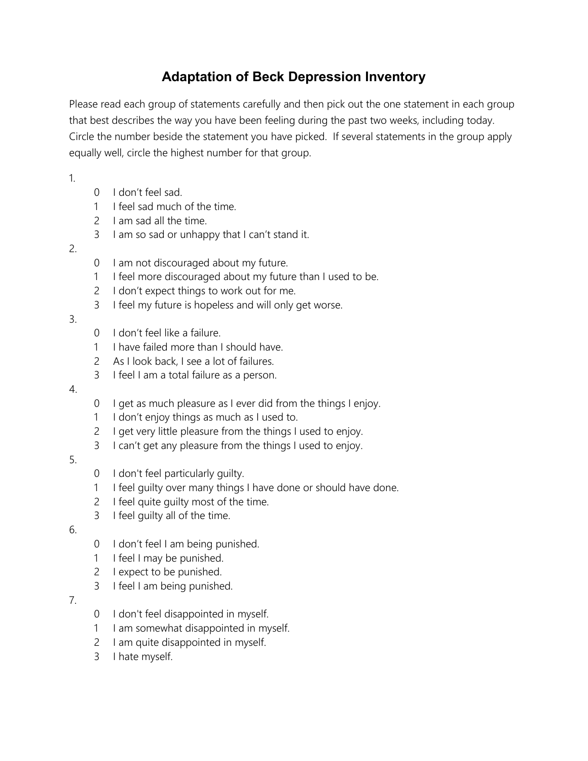# **Adaptation of Beck Depression Inventory**

Please read each group of statements carefully and then pick out the one statement in each group that best describes the way you have been feeling during the past two weeks, including today. Circle the number beside the statement you have picked. If several statements in the group apply equally well, circle the highest number for that group.

1.

- 0 I don't feel sad.
- 1 I feel sad much of the time.
- 2 I am sad all the time.
- 3 I am so sad or unhappy that I can't stand it.
- 2.
- 0 I am not discouraged about my future.
- 1 I feel more discouraged about my future than I used to be.
- 2 I don't expect things to work out for me.
- 3 I feel my future is hopeless and will only get worse.
- 3.
- 0 I don't feel like a failure.
- 1 I have failed more than I should have.
- 2 As I look back, I see a lot of failures.
- 3 I feel I am a total failure as a person.

## 4.

- 0 I get as much pleasure as I ever did from the things I enjoy.
- 1 I don't enjoy things as much as I used to.
- 2 I get very little pleasure from the things I used to enjoy.
- 3 I can't get any pleasure from the things I used to enjoy.

## 5.

- 0 I don't feel particularly guilty.
- 1 I feel guilty over many things I have done or should have done.
- 2 I feel quite quilty most of the time.
- 3 I feel guilty all of the time.

## 6.

- 0 I don't feel I am being punished.
- 1 I feel I may be punished.
- 2 I expect to be punished.
- 3 I feel I am being punished.

# 7.

- 0 I don't feel disappointed in myself.
- 1 I am somewhat disappointed in myself.
- 2 I am quite disappointed in myself.
- 3 I hate myself.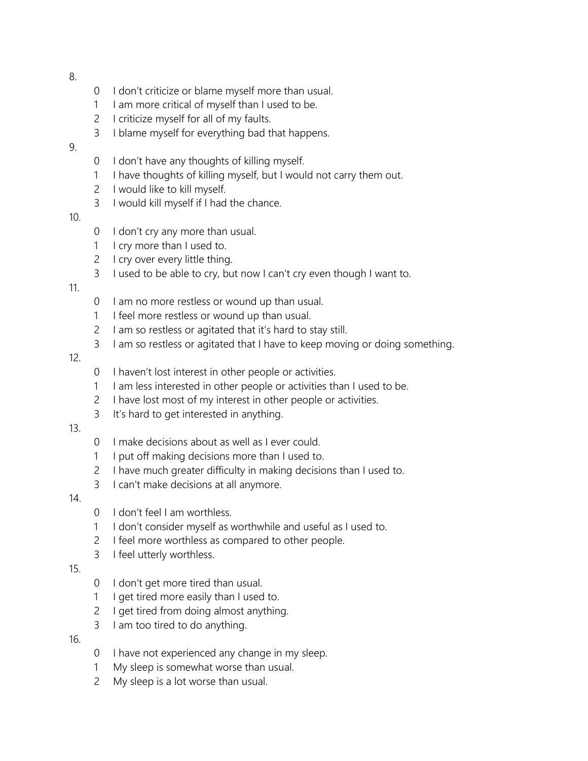8.

- 0 I don't criticize or blame myself more than usual.
- 1 I am more critical of myself than I used to be.
- 2 I criticize myself for all of my faults.
- 3 I blame myself for everything bad that happens.

## 9.

- 0 I don't have any thoughts of killing myself.
- 1 I have thoughts of killing myself, but I would not carry them out.
- 2 I would like to kill myself.
- 3 I would kill myself if I had the chance.
- 10.
- 0 I don't cry any more than usual.
- 1 I cry more than I used to.
- 2 I cry over every little thing.
- 3 I used to be able to cry, but now I can't cry even though I want to.

## 11.

- 0 I am no more restless or wound up than usual.
- 1 I feel more restless or wound up than usual.
- 2 I am so restless or agitated that it's hard to stay still.
- 3 I am so restless or agitated that I have to keep moving or doing something.

## 12.

- 0 I haven't lost interest in other people or activities.
- 1 I am less interested in other people or activities than I used to be.
- 2 I have lost most of my interest in other people or activities.
- 3 It's hard to get interested in anything.

## 13.

- 0 I make decisions about as well as I ever could.
- 1 I put off making decisions more than I used to.
- 2 I have much greater difficulty in making decisions than I used to.
- 3 I can't make decisions at all anymore.

## 14.

- 0 I don't feel I am worthless.
- 1 I don't consider myself as worthwhile and useful as I used to.
- 2 I feel more worthless as compared to other people.
- 3 I feel utterly worthless.

## 15.

- 0 I don't get more tired than usual.
- 1 I get tired more easily than I used to.
- 2 I get tired from doing almost anything.
- 3 I am too tired to do anything.

#### 16.

- 0 I have not experienced any change in my sleep.
- 1 My sleep is somewhat worse than usual.
- 2 My sleep is a lot worse than usual.